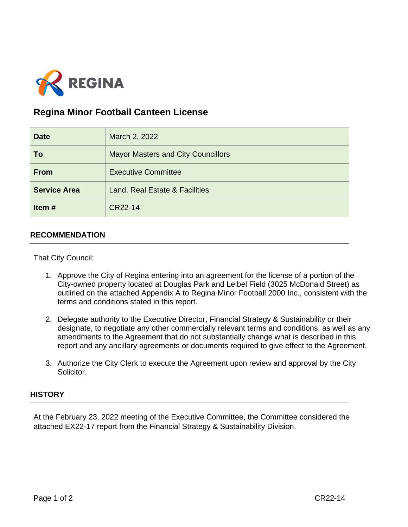

## **Regina Minor Football Canteen License**

| <b>Date</b>         | March 2, 2022                             |
|---------------------|-------------------------------------------|
| To                  | <b>Mayor Masters and City Councillors</b> |
| <b>From</b>         | <b>Executive Committee</b>                |
| <b>Service Area</b> | Land, Real Estate & Facilities            |
| Item#               | CR22-14                                   |

## **RECOMMENDATION**

That City Council:

- 1. Approve the City of Regina entering into an agreement for the license of a portion of the City-owned property located at Douglas Park and Leibel Field (3025 McDonald Street) as outlined on the attached Appendix A to Regina Minor Football 2000 Inc., consistent with the terms and conditions stated in this report.
- 2. Delegate authority to the Executive Director, Financial Strategy & Sustainability or their designate, to negotiate any other commercially relevant terms and conditions, as well as any amendments to the Agreement that do not substantially change what is described in this report and any ancillary agreements or documents required to give effect to the Agreement.
- 3. Authorize the City Clerk to execute the Agreement upon review and approval by the City Solicitor.

## **HISTORY**

At the February 23, 2022 meeting of the Executive Committee, the Committee considered the attached EX22-17 report from the Financial Strategy & Sustainability Division.